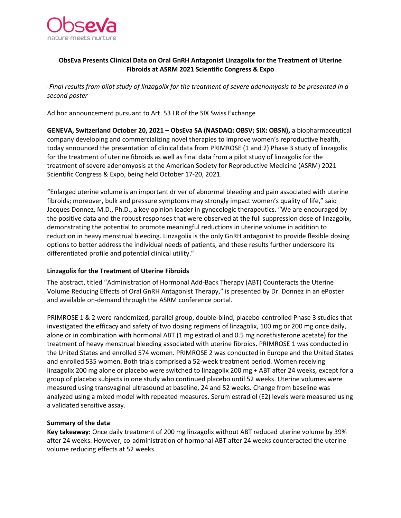

# **ObsEva Presents Clinical Data on Oral GnRH Antagonist Linzagolix for the Treatment of Uterine Fibroids at ASRM 2021 Scientific Congress & Expo**

*-Final results from pilot study of linzagolix for the treatment of severe adenomyosis to be presented in a second poster -*

Ad hoc announcement pursuant to Art. 53 LR of the SIX Swiss Exchange

**GENEVA, Switzerland October 20, 2021 – ObsEva SA (NASDAQ: OBSV; SIX: OBSN),** a biopharmaceutical company developing and commercializing novel therapies to improve women's reproductive health, today announced the presentation of clinical data from PRIMROSE (1 and 2) Phase 3 study of linzagolix for the treatment of uterine fibroids as well as final data from a pilot study of linzagolix for the treatment of severe adenomyosis at the American Society for Reproductive Medicine (ASRM) 2021 Scientific Congress & Expo, being held October 17-20, 2021.

"Enlarged uterine volume is an important driver of abnormal bleeding and pain associated with uterine fibroids; moreover, bulk and pressure symptoms may strongly impact women's quality of life," said Jacques Donnez, M.D., Ph.D., a key opinion leader in gynecologic therapeutics. "We are encouraged by the positive data and the robust responses that were observed at the full suppression dose of linzagolix, demonstrating the potential to promote meaningful reductions in uterine volume in addition to reduction in heavy menstrual bleeding. Linzagolix is the only GnRH antagonist to provide flexible dosing options to better address the individual needs of patients, and these results further underscore its differentiated profile and potential clinical utility."

### **Linzagolix for the Treatment of Uterine Fibroids**

The abstract, titled "Administration of Hormonal Add-Back Therapy (ABT) Counteracts the Uterine Volume Reducing Effects of Oral GnRH Antagonist Therapy," is presented by Dr. Donnez in an ePoster and available on-demand through the ASRM conference portal.

PRIMROSE 1 & 2 were randomized, parallel group, double-blind, placebo-controlled Phase 3 studies that investigated the efficacy and safety of two dosing regimens of linzagolix, 100 mg or 200 mg once daily, alone or in combination with hormonal ABT (1 mg estradiol and 0.5 mg norethisterone acetate) for the treatment of heavy menstrual bleeding associated with uterine fibroids. PRIMROSE 1 was conducted in the United States and enrolled 574 women. PRIMROSE 2 was conducted in Europe and the United States and enrolled 535 women. Both trials comprised a 52-week treatment period. Women receiving linzagolix 200 mg alone or placebo were switched to linzagolix 200 mg + ABT after 24 weeks, except for a group of placebo subjects in one study who continued placebo until 52 weeks. Uterine volumes were measured using transvaginal ultrasound at baseline, 24 and 52 weeks. Change from baseline was analyzed using a mixed model with repeated measures. Serum estradiol (E2) levels were measured using a validated sensitive assay.

#### **Summary of the data**

**Key takeaway:** Once daily treatment of 200 mg linzagolix without ABT reduced uterine volume by 39% after 24 weeks. However, co-administration of hormonal ABT after 24 weeks counteracted the uterine volume reducing effects at 52 weeks.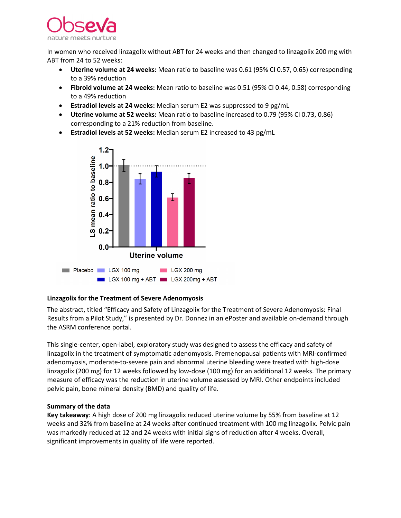

In women who received linzagolix without ABT for 24 weeks and then changed to linzagolix 200 mg with ABT from 24 to 52 weeks:

- **Uterine volume at 24 weeks:** Mean ratio to baseline was 0.61 (95% CI 0.57, 0.65) corresponding to a 39% reduction
- **Fibroid volume at 24 weeks:** Mean ratio to baseline was 0.51 (95% CI 0.44, 0.58) corresponding to a 49% reduction
- **Estradiol levels at 24 weeks:** Median serum E2 was suppressed to 9 pg/mL
- **Uterine volume at 52 weeks:** Mean ratio to baseline increased to 0.79 (95% CI 0.73, 0.86) corresponding to a 21% reduction from baseline.
- **Estradiol levels at 52 weeks:** Median serum E2 increased to 43 pg/mL



# **Linzagolix for the Treatment of Severe Adenomyosis**

The abstract, titled "Efficacy and Safety of Linzagolix for the Treatment of Severe Adenomyosis: Final Results from a Pilot Study," is presented by Dr. Donnez in an ePoster and available on-demand through the ASRM conference portal.

This single-center, open-label, exploratory study was designed to assess the efficacy and safety of linzagolix in the treatment of symptomatic adenomyosis. Premenopausal patients with MRI-confirmed adenomyosis, moderate-to-severe pain and abnormal uterine bleeding were treated with high-dose linzagolix (200 mg) for 12 weeks followed by low-dose (100 mg) for an additional 12 weeks. The primary measure of efficacy was the reduction in uterine volume assessed by MRI. Other endpoints included pelvic pain, bone mineral density (BMD) and quality of life.

### **Summary of the data**

**Key takeaway**: A high dose of 200 mg linzagolix reduced uterine volume by 55% from baseline at 12 weeks and 32% from baseline at 24 weeks after continued treatment with 100 mg linzagolix. Pelvic pain was markedly reduced at 12 and 24 weeks with initial signs of reduction after 4 weeks. Overall, significant improvements in quality of life were reported.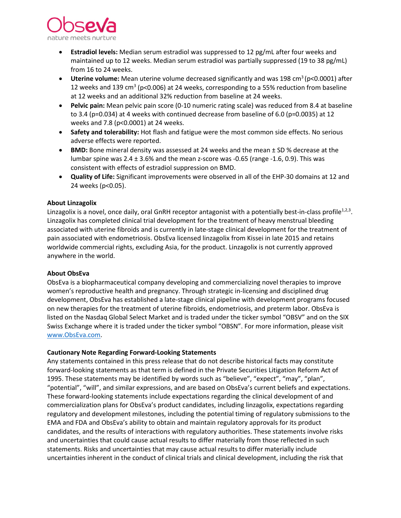

- **Estradiol levels:** Median serum estradiol was suppressed to 12 pg/mL after four weeks and maintained up to 12 weeks. Median serum estradiol was partially suppressed (19 to 38 pg/mL) from 16 to 24 weeks.
- **Uterine volume:** Mean uterine volume decreased significantly and was 198 cm<sup>3</sup> (p<0.0001) after 12 weeks and 139 cm<sup>3</sup> (p<0.006) at 24 weeks, corresponding to a 55% reduction from baseline at 12 weeks and an additional 32% reduction from baseline at 24 weeks.
- **Pelvic pain:** Mean pelvic pain score (0-10 numeric rating scale) was reduced from 8.4 at baseline to 3.4 ( $p=0.034$ ) at 4 weeks with continued decrease from baseline of 6.0 ( $p=0.0035$ ) at 12 weeks and 7.8 (p<0.0001) at 24 weeks.
- **Safety and tolerability:** Hot flash and fatigue were the most common side effects. No serious adverse effects were reported.
- **BMD:** Bone mineral density was assessed at 24 weeks and the mean ± SD % decrease at the lumbar spine was  $2.4 \pm 3.6\%$  and the mean z-score was -0.65 (range -1.6, 0.9). This was consistent with effects of estradiol suppression on BMD.
- **Quality of Life:** Significant improvements were observed in all of the EHP-30 domains at 12 and 24 weeks (p<0.05).

# **About Linzagolix**

Linzagolix is a novel, once daily, oral GnRH receptor antagonist with a potentially best-in-class profile<sup>1,2,3</sup>. Linzagolix has completed clinical trial development for the treatment of heavy menstrual bleeding associated with uterine fibroids and is currently in late-stage clinical development for the treatment of pain associated with endometriosis. ObsEva licensed linzagolix from Kissei in late 2015 and retains worldwide commercial rights, excluding Asia, for the product. Linzagolix is not currently approved anywhere in the world.

### **About ObsEva**

ObsEva is a biopharmaceutical company developing and commercializing novel therapies to improve women's reproductive health and pregnancy. Through strategic in-licensing and disciplined drug development, ObsEva has established a late-stage clinical pipeline with development programs focused on new therapies for the treatment of uterine fibroids, endometriosis, and preterm labor. ObsEva is listed on the Nasdaq Global Select Market and is traded under the ticker symbol "OBSV" and on the SIX Swiss Exchange where it is traded under the ticker symbol "OBSN". For more information, please visit [www.ObsEva.com.](http://www.obseva.com/)

### **Cautionary Note Regarding Forward-Looking Statements**

Any statements contained in this press release that do not describe historical facts may constitute forward-looking statements as that term is defined in the Private Securities Litigation Reform Act of 1995. These statements may be identified by words such as "believe", "expect", "may", "plan", "potential", "will", and similar expressions, and are based on ObsEva's current beliefs and expectations. These forward-looking statements include expectations regarding the clinical development of and commercialization plans for ObsEva's product candidates, including linzagolix, expectations regarding regulatory and development milestones, including the potential timing of regulatory submissions to the EMA and FDA and ObsEva's ability to obtain and maintain regulatory approvals for its product candidates, and the results of interactions with regulatory authorities. These statements involve risks and uncertainties that could cause actual results to differ materially from those reflected in such statements. Risks and uncertainties that may cause actual results to differ materially include uncertainties inherent in the conduct of clinical trials and clinical development, including the risk that